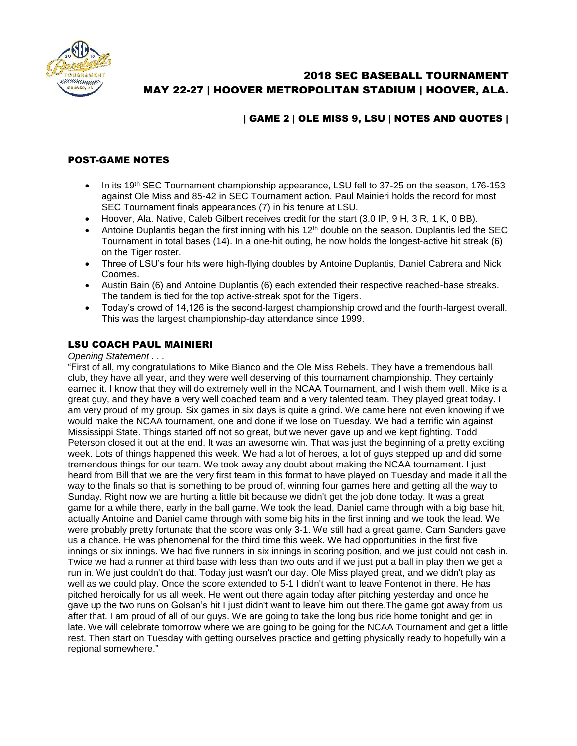

# 2018 SEC BASEBALL TOURNAMENT MAY 22-27 | HOOVER METROPOLITAN STADIUM | HOOVER, ALA.

## | GAME 2 | OLE MISS 9, LSU | NOTES AND QUOTES |

#### POST-GAME NOTES

- In its 19<sup>th</sup> SEC Tournament championship appearance, LSU fell to  $37-25$  on the season, 176-153 against Ole Miss and 85-42 in SEC Tournament action. Paul Mainieri holds the record for most SEC Tournament finals appearances (7) in his tenure at LSU.
- Hoover, Ala. Native, Caleb Gilbert receives credit for the start (3.0 IP, 9 H, 3 R, 1 K, 0 BB).
- Antoine Duplantis began the first inning with his  $12<sup>th</sup>$  double on the season. Duplantis led the SEC Tournament in total bases (14). In a one-hit outing, he now holds the longest-active hit streak (6) on the Tiger roster.
- Three of LSU's four hits were high-flying doubles by Antoine Duplantis, Daniel Cabrera and Nick Coomes.
- Austin Bain (6) and Antoine Duplantis (6) each extended their respective reached-base streaks. The tandem is tied for the top active-streak spot for the Tigers.
- Today's crowd of 14,126 is the second-largest championship crowd and the fourth-largest overall. This was the largest championship-day attendance since 1999.

### LSU COACH PAUL MAINIERI

#### *Opening Statement . . .*

"First of all, my congratulations to Mike Bianco and the Ole Miss Rebels. They have a tremendous ball club, they have all year, and they were well deserving of this tournament championship. They certainly earned it. I know that they will do extremely well in the NCAA Tournament, and I wish them well. Mike is a great guy, and they have a very well coached team and a very talented team. They played great today. I am very proud of my group. Six games in six days is quite a grind. We came here not even knowing if we would make the NCAA tournament, one and done if we lose on Tuesday. We had a terrific win against Mississippi State. Things started off not so great, but we never gave up and we kept fighting. Todd Peterson closed it out at the end. It was an awesome win. That was just the beginning of a pretty exciting week. Lots of things happened this week. We had a lot of heroes, a lot of guys stepped up and did some tremendous things for our team. We took away any doubt about making the NCAA tournament. I just heard from Bill that we are the very first team in this format to have played on Tuesday and made it all the way to the finals so that is something to be proud of, winning four games here and getting all the way to Sunday. Right now we are hurting a little bit because we didn't get the job done today. It was a great game for a while there, early in the ball game. We took the lead, Daniel came through with a big base hit, actually Antoine and Daniel came through with some big hits in the first inning and we took the lead. We were probably pretty fortunate that the score was only 3-1. We still had a great game. Cam Sanders gave us a chance. He was phenomenal for the third time this week. We had opportunities in the first five innings or six innings. We had five runners in six innings in scoring position, and we just could not cash in. Twice we had a runner at third base with less than two outs and if we just put a ball in play then we get a run in. We just couldn't do that. Today just wasn't our day. Ole Miss played great, and we didn't play as well as we could play. Once the score extended to 5-1 I didn't want to leave Fontenot in there. He has pitched heroically for us all week. He went out there again today after pitching yesterday and once he gave up the two runs on Golsan's hit I just didn't want to leave him out there.The game got away from us after that. I am proud of all of our guys. We are going to take the long bus ride home tonight and get in late. We will celebrate tomorrow where we are going to be going for the NCAA Tournament and get a little rest. Then start on Tuesday with getting ourselves practice and getting physically ready to hopefully win a regional somewhere."